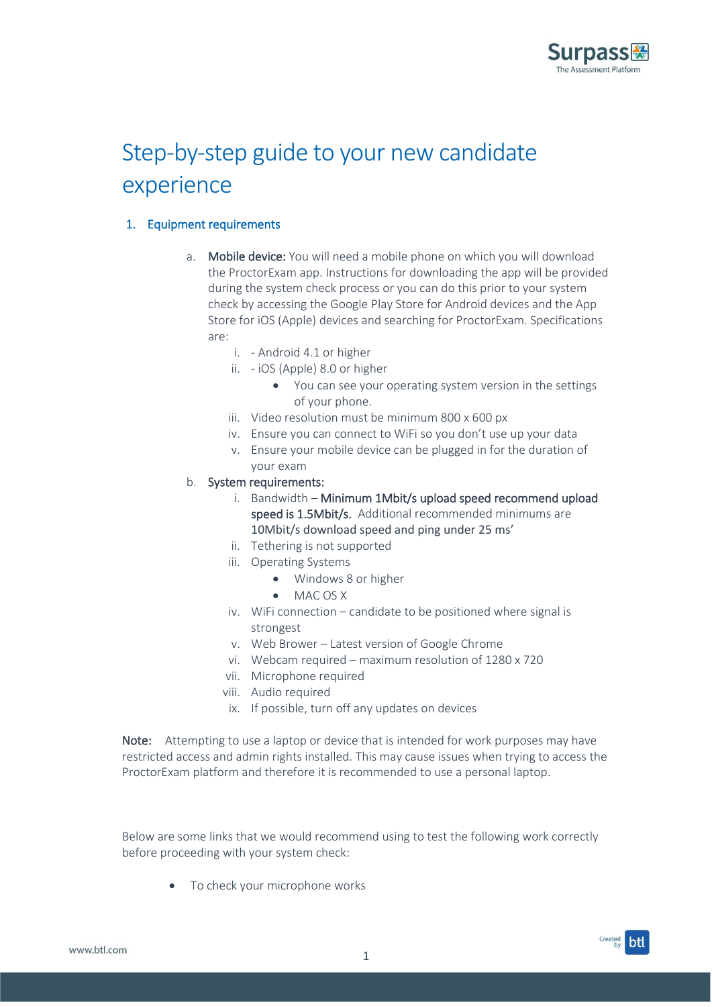

# Step-by-step guide to your new candidate experience

## 1. Equipment requirements

- a. Mobile device: You will need a mobile phone on which you will download the ProctorExam app. Instructions for downloading the app will be provided during the system check process or you can do this prior to your system check by accessing the Google Play Store for Android devices and the App Store for iOS (Apple) devices and searching for ProctorExam. Specifications are:
	- i. Android 4.1 or higher
	- ii. iOS (Apple) 8.0 or higher
		- You can see your operating system version in the settings of your phone.
	- iii. Video resolution must be minimum 800 x 600 px
	- iv. Ensure you can connect to WiFi so you don't use up your data
	- v. Ensure your mobile device can be plugged in for the duration of your exam

#### b. System requirements:

- i. Bandwidth Minimum 1Mbit/s upload speed recommend upload speed is 1.5Mbit/s. Additional recommended minimums are 10Mbit/s download speed and ping under 25 ms'
- ii. Tethering is not supported
- iii. Operating Systems
	- Windows 8 or higher
	- MAC OS X
- iv. WiFi connection candidate to be positioned where signal is strongest
- v. Web Brower Latest version of Google Chrome
- vi. Webcam required maximum resolution of 1280 x 720
- vii. Microphone required
- viii. Audio required
- ix. If possible, turn off any updates on devices

Note: Attempting to use a laptop or device that is intended for work purposes may have restricted access and admin rights installed. This may cause issues when trying to access the ProctorExam platform and therefore it is recommended to use a personal laptop.

Below are some links that we would recommend using to test the following work correctly before proceeding with your system check:

• To check your microphone works

www.btl.com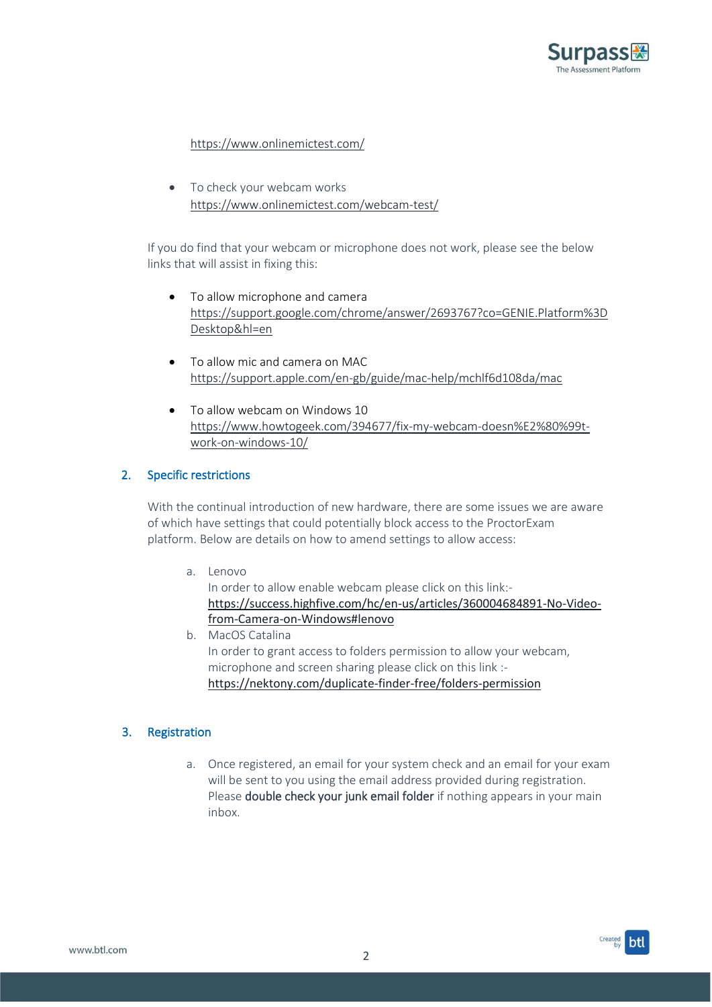

## <https://www.onlinemictest.com/>

• To check your webcam works <https://www.onlinemictest.com/webcam-test/>

If you do find that your webcam or microphone does not work, please see the below links that will assist in fixing this:

- To allow microphone and camera [https://support.google.com/chrome/answer/2693767?co=GENIE.Platform%3D](https://support.google.com/chrome/answer/2693767?co=GENIE.Platform%3DDesktop&hl=en) [Desktop&hl=en](https://support.google.com/chrome/answer/2693767?co=GENIE.Platform%3DDesktop&hl=en)
- To allow mic and camera on MAC <https://support.apple.com/en-gb/guide/mac-help/mchlf6d108da/mac>
- To allow webcam on Windows 10 [https://www.howtogeek.com/394677/fix-my-webcam-doesn%E2%80%99t](https://www.howtogeek.com/394677/fix-my-webcam-doesn%E2%80%99t-work-on-windows-10/)[work-on-windows-10/](https://www.howtogeek.com/394677/fix-my-webcam-doesn%E2%80%99t-work-on-windows-10/)

## 2. Specific restrictions

With the continual introduction of new hardware, there are some issues we are aware of which have settings that could potentially block access to the ProctorExam platform. Below are details on how to amend settings to allow access:

a. Lenovo

In order to allow enable webcam please click on this link: [https://success.highfive.com/hc/en-us/articles/360004684891-No-Video](https://eur03.safelinks.protection.outlook.com/?url=https%3A%2F%2Fsuccess.highfive.com%2Fhc%2Fen-us%2Farticles%2F360004684891-No-Video-from-Camera-on-Windows%23lenovo&data=02%7C01%7Csam.wray%40btl.com%7C6f1be82ed8614f654b4908d764548fb9%7C4115a386bece46a4aa88b0dd2bbe8c0d%7C1%7C0%7C637088186675786419&sdata=j%2FqaHObzXKwUzYEcBthys0Fy5oiJ8PEB6Go2biuolq4%3D&reserved=0)[from-Camera-on-Windows#lenovo](https://eur03.safelinks.protection.outlook.com/?url=https%3A%2F%2Fsuccess.highfive.com%2Fhc%2Fen-us%2Farticles%2F360004684891-No-Video-from-Camera-on-Windows%23lenovo&data=02%7C01%7Csam.wray%40btl.com%7C6f1be82ed8614f654b4908d764548fb9%7C4115a386bece46a4aa88b0dd2bbe8c0d%7C1%7C0%7C637088186675786419&sdata=j%2FqaHObzXKwUzYEcBthys0Fy5oiJ8PEB6Go2biuolq4%3D&reserved=0)

b. MacOS Catalina In order to grant access to folders permission to allow your webcam, microphone and screen sharing please click on this link : <https://nektony.com/duplicate-finder-free/folders-permission>

## 3. Registration

a. Once registered, an email for your system check and an email for your exam will be sent to you using the email address provided during registration. Please double check your junk email folder if nothing appears in your main inbox.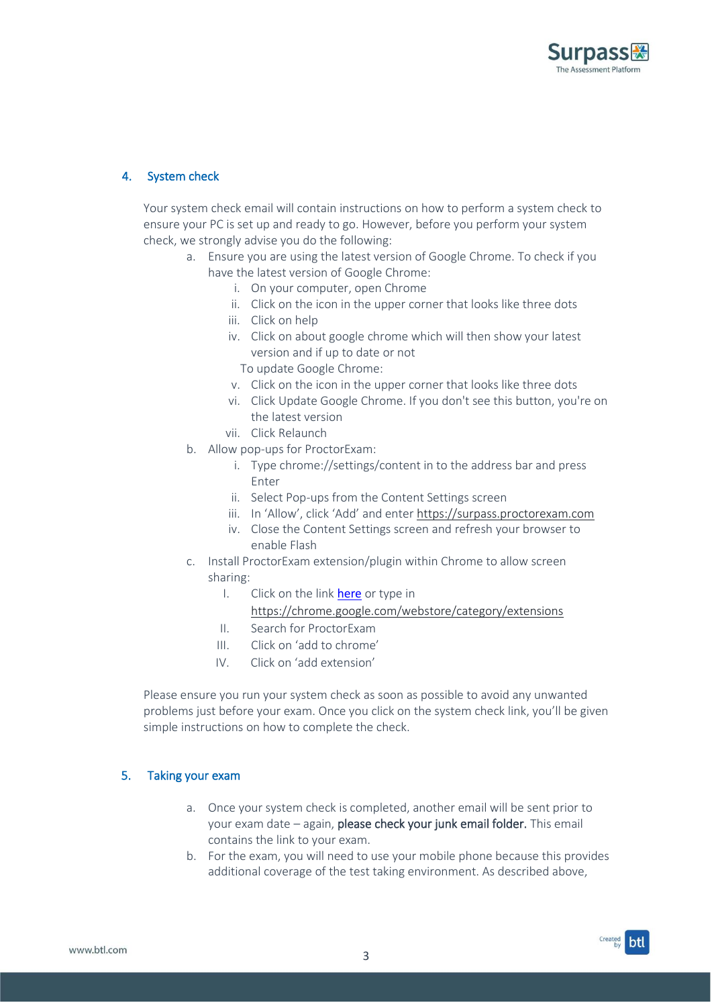

## 4. System check

Your system check email will contain instructions on how to perform a system check to ensure your PC is set up and ready to go. However, before you perform your system check, we strongly advise you do the following:

- a. Ensure you are using the latest version of Google Chrome. To check if you have the latest version of Google Chrome:
	- i. On your computer, open Chrome
	- ii. Click on the icon in the upper corner that looks like three dots
	- iii. Click on help
	- iv. Click on about google chrome which will then show your latest version and if up to date or not
		- To update Google Chrome:
	- v. Click on the icon in the upper corner that looks like three dots
	- vi. Click Update Google Chrome. If you don't see this button, you're on the latest version
	- vii. Click Relaunch
- b. Allow pop-ups for ProctorExam:
	- i. Type chrome://settings/content in to the address bar and press Enter
	- ii. Select Pop-ups from the Content Settings screen
	- iii. In 'Allow', click 'Add' and enter [https://surpass.proctorexam.com](https://surpass.proctorexam.com/)
	- iv. Close the Content Settings screen and refresh your browser to enable Flash
- c. Install ProctorExam extension/plugin within Chrome to allow screen sharing:
	- I. Click on the link [here](https://chrome.google.com/webstore/detail/proctorexam-screen-sharin/digojkgonhgmnohbapdfjllpnmjmdhpg) or type in
		- <https://chrome.google.com/webstore/category/extensions>
	- II. Search for ProctorExam
	- III. Click on 'add to chrome'
	- IV. Click on 'add extension'

Please ensure you run your system check as soon as possible to avoid any unwanted problems just before your exam. Once you click on the system check link, you'll be given simple instructions on how to complete the check.

## 5. Taking your exam

- a. Once your system check is completed, another email will be sent prior to your exam date – again, please check your junk email folder. This email contains the link to your exam.
- b. For the exam, you will need to use your mobile phone because this provides additional coverage of the test taking environment. As described above,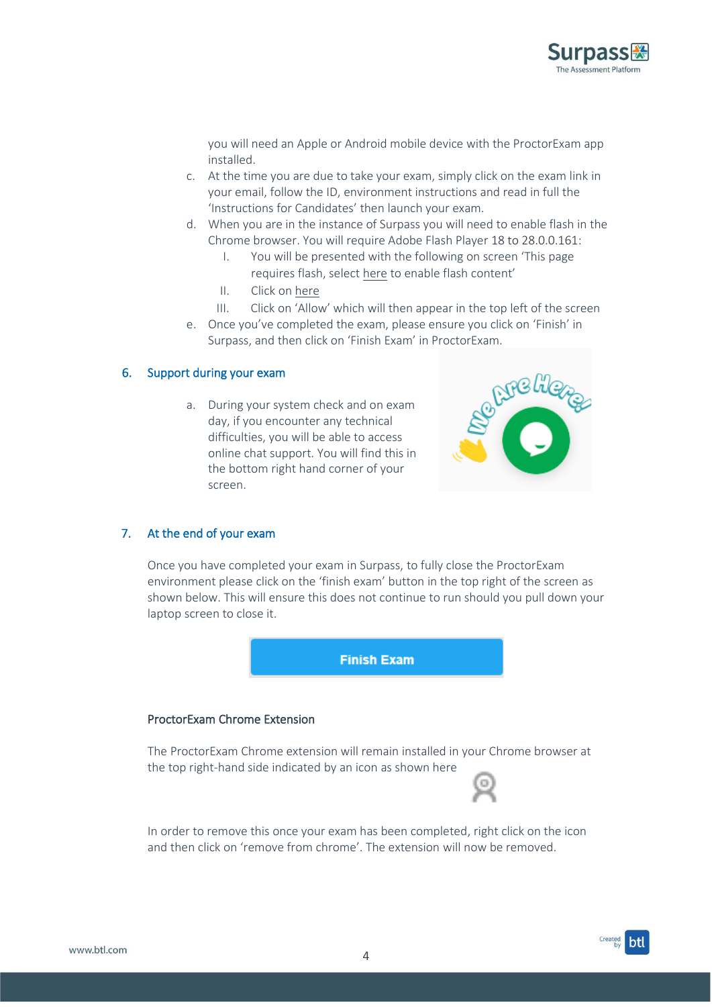

you will need an Apple or Android mobile device with the ProctorExam app installed.

- c. At the time you are due to take your exam, simply click on the exam link in your email, follow the ID, environment instructions and read in full the 'Instructions for Candidates' then launch your exam.
- d. When you are in the instance of Surpass you will need to enable flash in the Chrome browser. You will require Adobe Flash Player 18 to 28.0.0.161:
	- I. You will be presented with the following on screen 'This page requires flash, select here to enable flash content'
	- II. Click on here
	- III. Click on 'Allow' which will then appear in the top left of the screen
- e. Once you've completed the exam, please ensure you click on 'Finish' in Surpass, and then click on 'Finish Exam' in ProctorExam.

#### 6. Support during your exam

a. During your system check and on exam day, if you encounter any technical difficulties, you will be able to access online chat support. You will find this in the bottom right hand corner of your screen.



## 7. At the end of your exam

Once you have completed your exam in Surpass, to fully close the ProctorExam environment please click on the 'finish exam' button in the top right of the screen as shown below. This will ensure this does not continue to run should you pull down your laptop screen to close it.



#### ProctorExam Chrome Extension

The ProctorExam Chrome extension will remain installed in your Chrome browser at the top right-hand side indicated by an icon as shown here

In order to remove this once your exam has been completed, right click on the icon and then click on 'remove from chrome'. The extension will now be removed.